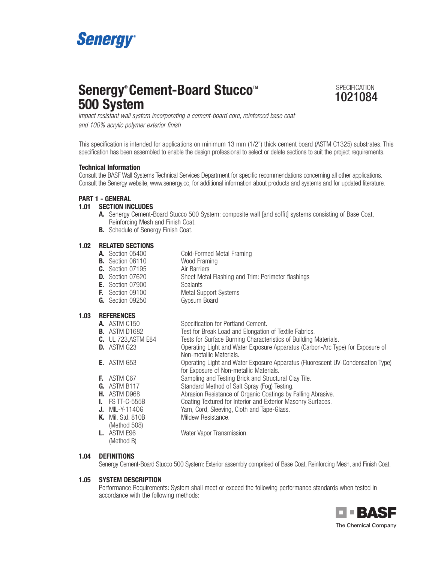

# **Senergy<sup>®</sup> Cement-Board Stucco<sup>™</sup>
<sup>SPECIFICATION</sup> 500 System**



Impact resistant wall system incorporating a cement-board core, reinforced base coat and 100% acrylic polymer exterior finish

This specification is intended for applications on minimum 13 mm (1/2") thick cement board (ASTM C1325) substrates. This specification has been assembled to enable the design professional to select or delete sections to suit the project requirements.

#### **Technical Information**

Consult the BASF Wall Systems Technical Services Department for specific recommendations concerning all other applications. Consult the Senergy website, www.senergy.cc, for additional information about products and systems and for updated literature.

#### **PART 1 - GENERAL**

#### **1.01 SECTION INCLUDES**

- **A.** Senergy Cement-Board Stucco 500 System: composite wall [and soffit] systems consisting of Base Coat, Reinforcing Mesh and Finish Coat.
- **B.** Schedule of Senergy Finish Coat.

### **1.02 RELATED SECTIONS**

| .    |                         |                                                    |
|------|-------------------------|----------------------------------------------------|
|      | <b>A.</b> Section 05400 | Cold-Formed Metal Framing                          |
|      | <b>B.</b> Section 06110 | Wood Framing                                       |
|      | <b>C.</b> Section 07195 | Air Barriers                                       |
|      | <b>D.</b> Section 07620 | Sheet Metal Flashing and Trim: Perimeter flashings |
|      | <b>E.</b> Section 07900 | <b>Sealants</b>                                    |
|      | <b>F.</b> Section 09100 | <b>Metal Support Systems</b>                       |
|      | <b>G.</b> Section 09250 | Gypsum Board                                       |
| 1.03 | <b>REFERENCES</b>       |                                                    |
|      |                         |                                                    |

|              | Specification for Portland Cement.                                                                                                                                                                                                                                                             |
|--------------|------------------------------------------------------------------------------------------------------------------------------------------------------------------------------------------------------------------------------------------------------------------------------------------------|
|              | Test for Break Load and Elongation of Textile Fabrics.                                                                                                                                                                                                                                         |
|              | Tests for Surface Burning Characteristics of Building Materials.                                                                                                                                                                                                                               |
|              | Operating Light and Water Exposure Apparatus (Carbon-Arc Type) for Exposure of                                                                                                                                                                                                                 |
|              | Non-metallic Materials.                                                                                                                                                                                                                                                                        |
|              | Operating Light and Water Exposure Apparatus (Fluorescent UV-Condensation Type)                                                                                                                                                                                                                |
|              | for Exposure of Non-metallic Materials.                                                                                                                                                                                                                                                        |
|              | Sampling and Testing Brick and Structural Clay Tile.                                                                                                                                                                                                                                           |
|              | Standard Method of Salt Spray (Fog) Testing.                                                                                                                                                                                                                                                   |
|              | Abrasion Resistance of Organic Coatings by Falling Abrasive.                                                                                                                                                                                                                                   |
|              | Coating Textured for Interior and Exterior Masonry Surfaces.                                                                                                                                                                                                                                   |
|              | Yarn, Cord, Sleeving, Cloth and Tape-Glass.                                                                                                                                                                                                                                                    |
|              | Mildew Resistance.                                                                                                                                                                                                                                                                             |
| (Method 508) |                                                                                                                                                                                                                                                                                                |
|              | Water Vapor Transmission.                                                                                                                                                                                                                                                                      |
| (Method B)   |                                                                                                                                                                                                                                                                                                |
|              | <b>A.</b> ASTM C150<br><b>B.</b> ASTM D1682<br><b>C.</b> UL 723, ASTM E84<br>$D.$ ASTM G23<br><b>E.</b> ASTM G53<br><b>F.</b> ASTM C67<br><b>G.</b> ASTM B117<br><b>H.</b> ASTM D968<br>$\blacksquare$ FS TT-C-555B<br><b>J.</b> MIL-Y-1140G<br><b>K.</b> Mil. Std. 810B<br><b>L.</b> ASTM E96 |

#### **1.04 DEFINITIONS**

Senergy Cement-Board Stucco 500 System: Exterior assembly comprised of Base Coat, Reinforcing Mesh, and Finish Coat.

#### **1.05 SYSTEM DESCRIPTION**

Performance Requirements: System shall meet or exceed the following performance standards when tested in accordance with the following methods:

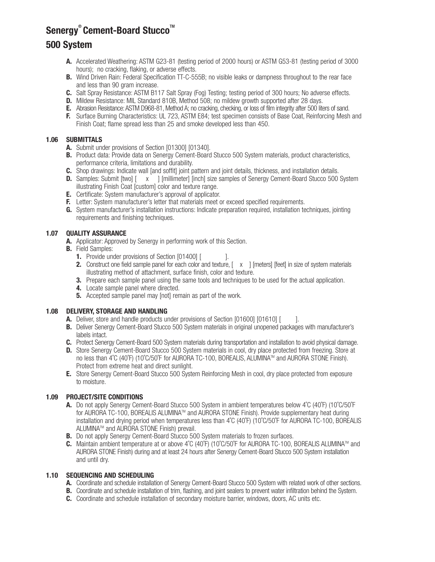## **Senergy<sup>®</sup> Cement-Board Stucco™**

### **500 System**

- **A.** Accelerated Weathering: ASTM G23-81 (testing period of 2000 hours) or ASTM G53-81 (testing period of 3000 hours); no cracking, flaking, or adverse effects.
- **B.** Wind Driven Rain: Federal Specification TT-C-555B; no visible leaks or dampness throughout to the rear face and less than 90 gram increase.
- **C.** Salt Spray Resistance: ASTM B117 Salt Spray (Fog) Testing; testing period of 300 hours; No adverse effects.
- **D.** Mildew Resistance: MIL Standard 810B, Method 508; no mildew growth supported after 28 days.
- **E.** Abrasion Resistance: ASTM D968-81, Method A; no cracking, checking, or loss of film integrity after 500 liters of sand.
- **F.** Surface Burning Characteristics: UL 723, ASTM E84; test specimen consists of Base Coat, Reinforcing Mesh and Finish Coat; flame spread less than 25 and smoke developed less than 450.

### **1.06 SUBMITTALS**

- **A.** Submit under provisions of Section [01300] [01340].
- **B.** Product data: Provide data on Senergy Cement-Board Stucco 500 System materials, product characteristics, performance criteria, limitations and durability.
- **C.** Shop drawings: Indicate wall [and soffit] joint pattern and joint details, thickness, and installation details.
- **D.** Samples: Submit [two]  $\begin{bmatrix} x \\ y \end{bmatrix}$  [millimeter] [inch] size samples of Senergy Cement-Board Stucco 500 System illustrating Finish Coat [custom] color and texture range.
- **E.** Certificate: System manufacturer's approval of applicator.
- **F.** Letter: System manufacturer's letter that materials meet or exceed specified requirements.
- **G.** System manufacturer's installation instructions: Indicate preparation required, installation techniques, jointing requirements and finishing techniques.

#### **1.07 QUALITY ASSURANCE**

- **A.** Applicator: Approved by Senergy in performing work of this Section.
- **B.** Field Samples:
	- **1.** Provide under provisions of Section [01400] [  $\qquad$  ].
	- **2.** Construct one field sample panel for each color and texture, [ x ] [meters] [feet] in size of system materials illustrating method of attachment, surface finish, color and texture.
	- **3.** Prepare each sample panel using the same tools and techniques to be used for the actual application.
	- **4.** Locate sample panel where directed.
	- **5.** Accepted sample panel may [not] remain as part of the work.

#### **1.08 DELIVERY, STORAGE AND HANDLING**

- **A.** Deliver, store and handle products under provisions of Section [01600] [01610] [ ].
- **B.** Deliver Senergy Cement-Board Stucco 500 System materials in original unopened packages with manufacturer's labels intact.
- **C.** Protect Senergy Cement-Board 500 System materials during transportation and installation to avoid physical damage.
- **D.** Store Senergy Cement-Board Stucco 500 System materials in cool, dry place protected from freezing. Store at no less than 4℃ (40°F) (10°C/50°F for AURORA TC-100, BOREALIS, ALUMINA™ and AURORA STONE Finish). Protect from extreme heat and direct sunlight.
- **E.** Store Senergy Cement-Board Stucco 500 System Reinforcing Mesh in cool, dry place protected from exposure to moisture.

#### **1.09 PROJECT/SITE CONDITIONS**

- **A.** Do not apply Senergy Cement-Board Stucco 500 System in ambient temperatures below 4˚C (40˚F) (10˚C/50˚F for AURORA TC-100, BOREALIS ALUMINA™ and AURORA STONE Finish). Provide supplementary heat during installation and drying period when temperatures less than 4˚C (40˚F) (10˚C/50˚F for AURORA TC-100, BOREALIS ALUMINATM and AURORA STONE Finish) prevail.
- **B.** Do not apply Senergy Cement-Board Stucco 500 System materials to frozen surfaces.
- **C.** Maintain ambient temperature at or above 4°C (40°F) (10°C/50°F for AURORA TC-100, BOREALIS ALUMINA™ and AURORA STONE Finish) during and at least 24 hours after Senergy Cement-Board Stucco 500 System installation and until dry.

#### **1.10 SEQUENCING AND SCHEDULING**

- **A.** Coordinate and schedule installation of Senergy Cement-Board Stucco 500 System with related work of other sections.
- **B.** Coordinate and schedule installation of trim, flashing, and joint sealers to prevent water infiltration behind the System.
- **C.** Coordinate and schedule installation of secondary moisture barrier, windows, doors, AC units etc.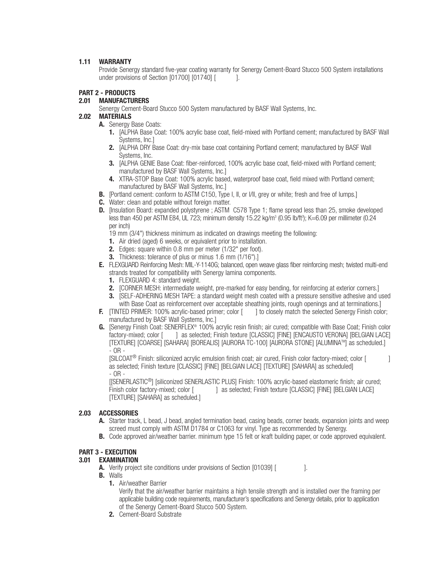#### **1.11 WARRANTY**

Provide Senergy standard five-year coating warranty for Senergy Cement-Board Stucco 500 System installations under provisions of Section [01700] [01740] [

#### **PART 2 - PRODUCTS**

#### **2.01 MANUFACTURERS**

Senergy Cement-Board Stucco 500 System manufactured by BASF Wall Systems, Inc.

### **2.02 MATERIALS**

- **A.** Senergy Base Coats:
	- **1.** [ALPHA Base Coat: 100% acrylic base coat, field-mixed with Portland cement; manufactured by BASF Wall Systems, Inc.]
	- **2.** [ALPHA DRY Base Coat: dry-mix base coat containing Portland cement; manufactured by BASF Wall Systems, Inc.
	- **3.** [ALPHA GENIE Base Coat: fiber-reinforced, 100% acrylic base coat, field-mixed with Portland cement; manufactured by BASF Wall Systems, Inc.]
	- **4.** XTRA-STOP Base Coat: 100% acrylic based, waterproof base coat, field mixed with Portland cement; manufactured by BASF Wall Systems, Inc.]
- **B.** [Portland cement: conform to ASTM C150, Type I, II, or I/II, grey or white; fresh and free of lumps.]
- **C.** Water: clean and potable without foreign matter.
- **D.** [Insulation Board: expanded polystyrene ; ASTM C578 Type 1; flame spread less than 25, smoke developed less than 450 per ASTM E84, UL 723; minimum density 15.22 kg/m<sup>3</sup> (0.95 lb/ft<sup>3</sup>); K=6.09 per millimeter (0.24 per inch)
	- 19 mm (3/4") thickness minimum as indicated on drawings meeting the following:
	- **1.** Air dried (aged) 6 weeks, or equivalent prior to installation.
	- **2.** Edges: square within 0.8 mm per meter (1/32" per foot).
	- **3.** Thickness: tolerance of plus or minus 1.6 mm (1/16").]
- **E.** FLEXGUARD Reinforcing Mesh: MIL-Y-1140G; balanced, open weave glass fiber reinforcing mesh; twisted multi-end strands treated for compatibility with Senergy lamina components.
	- **1.** FLEXGUARD 4: standard weight.
	- **2.** [CORNER MESH: intermediate weight, pre-marked for easy bending, for reinforcing at exterior corners.]
	- **3. ISELF-ADHERING MESH TAPE:** a standard weight mesh coated with a pressure sensitive adhesive and used with Base Coat as reinforcement over acceptable sheathing joints, rough openings and at terminations.]
- **F.** [TINTED PRIMER: 100% acrylic-based primer; color [ ] to closely match the selected Senergy Finish color; manufactured by BASF Wall Systems, Inc.]
- **G.** [Senergy Finish Coat: SENERFLEX® 100% acrylic resin finish; air cured; compatible with Base Coat; Finish color factory-mixed; color [ ] as selected; Finish texture [CLASSIC] [FINE] [ENCAUSTO VERONA] [BELGIAN LACE] [TEXTURE] [COARSE] [SAHARA] [BOREALIS] [AURORA TC-100] [AURORA STONE] [ALUMINA™] as scheduled.]  $-$  OR  $-$

[SILCOAT® Finish: siliconized acrylic emulsion finish coat; air cured, Finish color factory-mixed; color [ ] as selected; Finish texture [CLASSIC] [FINE] [BELGIAN LACE] [TEXTURE] [SAHARA] as scheduled] - OR -

[[SENERLASTIC®] [siliconized SENERLASTIC PLUS] Finish: 100% acrylic-based elastomeric finish; air cured; Finish color factory-mixed; color [ ] as selected; Finish texture [CLASSIC] [FINE] [BELGIAN LACE] [TEXTURE] [SAHARA] as scheduled.]

#### **2.03 ACCESSORIES**

- **A.** Starter track, L bead, J bead, angled termination bead, casing beads, corner beads, expansion joints and weep screed must comply with ASTM D1784 or C1063 for vinyl. Type as recommended by Senergy.
- **B.** Code approved air/weather barrier. minimum type 15 felt or kraft building paper, or code approved equivalent.

#### **PART 3 - EXECUTION**

#### **3.01 EXAMINATION**

- **A.** Verify project site conditions under provisions of Section [01039] [  $\qquad$  ].
- **B.** Walls
	- **1.** Air/weather Barrier

Verify that the air/weather barrier maintains a high tensile strength and is installed over the framing per applicable building code requirements, manufacturer's specifications and Senergy details, prior to application of the Senergy Cement-Board Stucco 500 System.

**2.** Cement-Board Substrate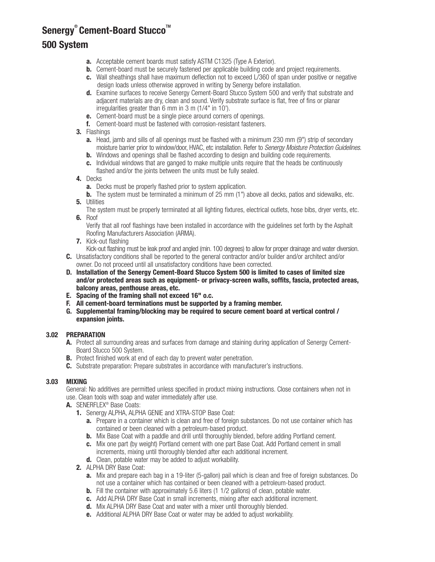### **Senergy<sup>®</sup> Cement-Board Stucco™ 500 System**

- **a.** Acceptable cement boards must satisfy ASTM C1325 (Type A Exterior).
- **b.** Cement-board must be securely fastened per applicable building code and project requirements.
- **c.** Wall sheathings shall have maximum deflection not to exceed L/360 of span under positive or negative design loads unless otherwise approved in writing by Senergy before installation.
- **d.** Examine surfaces to receive Senergy Cement-Board Stucco System 500 and verify that substrate and adjacent materials are dry, clean and sound. Verify substrate surface is flat, free of fins or planar irregularities greater than 6 mm in 3 m (1/4" in 10').
- **e.** Cement-board must be a single piece around corners of openings.
- **f.** Cement-board must be fastened with corrosion-resistant fasteners.
- **3.** Flashings
	- **a.** Head, jamb and sills of all openings must be flashed with a minimum 230 mm (9") strip of secondary moisture barrier prior to window/door, HVAC, etc installation. Refer to Senergy Moisture Protection Guidelines.
	- **b.** Windows and openings shall be flashed according to design and building code requirements.
	- **c.** Individual windows that are ganged to make multiple units require that the heads be continuously flashed and/or the joints between the units must be fully sealed.
- **4.** Decks
	- **a.** Decks must be properly flashed prior to system application.
- **b.** The system must be terminated a minimum of 25 mm (1") above all decks, patios and sidewalks, etc. **5.** Utilities
- The system must be properly terminated at all lighting fixtures, electrical outlets, hose bibs, dryer vents, etc. **6.** Roof

Verify that all roof flashings have been installed in accordance with the guidelines set forth by the Asphalt Roofing Manufacturers Association (ARMA).

**7.** Kick-out flashing

Kick-out flashing must be leak proof and angled (min. 100 degrees) to allow for proper drainage and water diversion.

- **C.** Unsatisfactory conditions shall be reported to the general contractor and/or builder and/or architect and/or owner. Do not proceed until all unsatisfactory conditions have been corrected.
- **D. Installation of the Senergy Cement-Board Stucco System 500 is limited to cases of limited size and/or protected areas such as equipment- or privacy-screen walls, soffits, fascia, protected areas, balcony areas, penthouse areas, etc.**
- **E. Spacing of the framing shall not exceed 16" o.c.**
- **F. All cement-board terminations must be supported by a framing member.**
- **G. Supplemental framing/blocking may be required to secure cement board at vertical control / expansion joints.**

#### **3.02 PREPARATION**

- **A.** Protect all surrounding areas and surfaces from damage and staining during application of Senergy Cement-Board Stucco 500 System.
- **B.** Protect finished work at end of each day to prevent water penetration.
- **C.** Substrate preparation: Prepare substrates in accordance with manufacturer's instructions.

#### **3.03 MIXING**

General: No additives are permitted unless specified in product mixing instructions. Close containers when not in use. Clean tools with soap and water immediately after use.

- **A.** SENERFLEX® Base Coats:
	- **1.** Senergy ALPHA, ALPHA GENIE and XTRA-STOP Base Coat:
		- **a.** Prepare in a container which is clean and free of foreign substances. Do not use container which has contained or been cleaned with a petroleum-based product.
		- **b.** Mix Base Coat with a paddle and drill until thoroughly blended, before adding Portland cement.
		- **c.** Mix one part (by weight) Portland cement with one part Base Coat. Add Portland cement in small increments, mixing until thoroughly blended after each additional increment.
		- **d.** Clean, potable water may be added to adjust workability.
	- **2.** ALPHA DRY Base Coat:
		- **a.** Mix and prepare each bag in a 19-liter (5-gallon) pail which is clean and free of foreign substances. Do not use a container which has contained or been cleaned with a petroleum-based product.
		- **b.** Fill the container with approximately 5.6 liters (1 1/2 gallons) of clean, potable water.
		- **c.** Add ALPHA DRY Base Coat in small increments, mixing after each additional increment.
		- **d.** Mix ALPHA DRY Base Coat and water with a mixer until thoroughly blended.
		- **e.** Additional ALPHA DRY Base Coat or water may be added to adjust workability.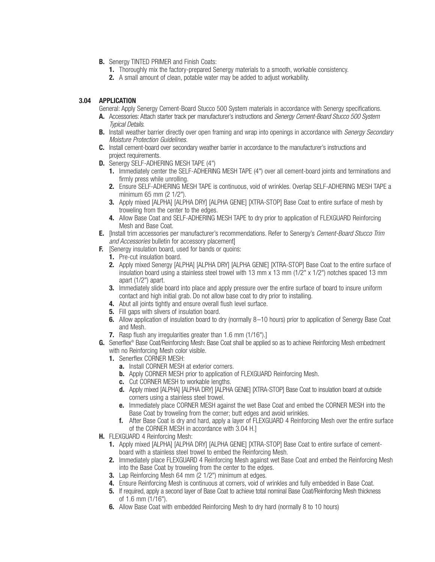- **B.** Senergy TINTED PRIMER and Finish Coats:
	- **1.** Thoroughly mix the factory-prepared Senergy materials to a smooth, workable consistency.
	- **2.** A small amount of clean, potable water may be added to adjust workability.

#### **3.04 APPLICATION**

General: Apply Senergy Cement-Board Stucco 500 System materials in accordance with Senergy specifications.

- **A.** Accessories: Attach starter track per manufacturer's instructions and Senergy Cement-Board Stucco 500 System Typical Details.
- **B.** Install weather barrier directly over open framing and wrap into openings in accordance with *Senergy Secondary* Moisture Protection Guidelines.
- **C.** Install cement-board over secondary weather barrier in accordance to the manufacturer's instructions and project requirements.
- **D.** Senergy SELF-ADHERING MESH TAPE (4")
	- **1.** Immediately center the SELF-ADHERING MESH TAPE (4") over all cement-board joints and terminations and firmly press while unrolling.
	- **2.** Ensure SELF-ADHERING MESH TAPE is continuous, void of wrinkles. Overlap SELF-ADHERING MESH TAPE a minimum 65 mm (2 1/2").
	- **3.** Apply mixed [ALPHA] [ALPHA DRY] [ALPHA GENIE] [XTRA-STOP] Base Coat to entire surface of mesh by troweling from the center to the edges.
	- **4.** Allow Base Coat and SELF-ADHERING MESH TAPE to dry prior to application of FLEXGUARD Reinforcing Mesh and Base Coat.
- **E.** [Install trim accessories per manufacturer's recommendations. Refer to Senergy's Cement-Board Stucco Trim and Accessories bulletin for accessory placement]
- **F.** [Senergy insulation board, used for bands or quoins:
	- **1.** Pre-cut insulation board.
	- **2.** Apply mixed Senergy [ALPHA] [ALPHA DRY] [ALPHA GENIE] [XTRA-STOP] Base Coat to the entire surface of insulation board using a stainless steel trowel with 13 mm  $x$  13 mm ( $1/2$ "  $x$   $1/2$ ") notches spaced 13 mm apart (1/2") apart.
	- **3.** Immediately slide board into place and apply pressure over the entire surface of board to insure uniform contact and high initial grab. Do not allow base coat to dry prior to installing.
	- **4.** Abut all joints tightly and ensure overall flush level surface.
	- **5.** Fill gaps with slivers of insulation board.
	- **6.** Allow application of insulation board to dry (normally 8–10 hours) prior to application of Senergy Base Coat and Mesh.
	- **7.** Rasp flush any irregularities greater than 1.6 mm (1/16").]
- **G.** Senerflex ® Base Coat/Reinforcing Mesh: Base Coat shall be applied so as to achieve Reinforcing Mesh embedment with no Reinforcing Mesh color visible.
	- **1.** Senerflex CORNER MESH:
		- **a.** Install CORNER MESH at exterior corners.
		- **b.** Apply CORNER MESH prior to application of FLEXGUARD Reinforcing Mesh.
		- **c.** Cut CORNER MESH to workable lengths.
		- **d.** Apply mixed [ALPHA] [ALPHA DRY] [ALPHA GENIE] [XTRA-STOP] Base Coat to insulation board at outside corners using a stainless steel trowel.
		- **e.** Immediately place CORNER MESH against the wet Base Coat and embed the CORNER MESH into the Base Coat by troweling from the corner; butt edges and avoid wrinkles.
		- **f.** After Base Coat is dry and hard, apply a layer of FLEXGUARD 4 Reinforcing Mesh over the entire surface of the CORNER MESH in accordance with 3.04 H.]
- **H.** FLEXGUARD 4 Reinforcing Mesh:
	- **1.** Apply mixed [ALPHA] [ALPHA DRY] [ALPHA GENIE] [XTRA-STOP] Base Coat to entire surface of cementboard with a stainless steel trowel to embed the Reinforcing Mesh.
	- **2.** Immediately place FLEXGUARD 4 Reinforcing Mesh against wet Base Coat and embed the Reinforcing Mesh into the Base Coat by troweling from the center to the edges.
	- **3.** Lap Reinforcing Mesh 64 mm (2 1/2") minimum at edges.
	- **4.** Ensure Reinforcing Mesh is continuous at corners, void of wrinkles and fully embedded in Base Coat.
	- **5.** If required, apply a second layer of Base Coat to achieve total nominal Base Coat/Reinforcing Mesh thickness of 1.6 mm (1/16").
	- **6.** Allow Base Coat with embedded Reinforcing Mesh to dry hard (normally 8 to 10 hours)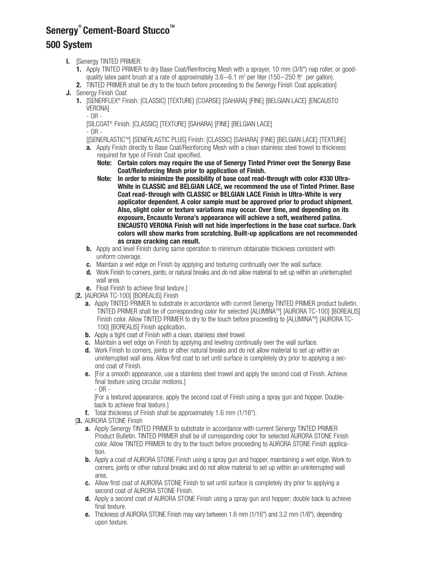# **Senergy<sup>®</sup> Cement-Board Stucco™ 500 System**

- **I.** [Senergy TINTED PRIMER:
	- **1.** Apply TINTED PRIMER to dry Base Coat/Reinforcing Mesh with a sprayer, 10 mm (3/8") nap roller, or goodquality latex paint brush at a rate of approximately  $3.6-6.1$  m<sup>2</sup> per liter (150-250 ft<sup>2</sup> per gallon).
	- **2.** TINTED PRIMER shall be dry to the touch before proceeding to the Senergy Finish Coat application]
- **J.** Senergy Finish Coat
	- **1.** [SENERFLEX® Finish: [CLASSIC] [TEXTURE] [COARSE] [SAHARA] [FINE] [BELGIAN LACE] [ENCAUSTO VERONA]
		- OR -

[SILCOAT® Finish: [CLASSIC] [TEXTURE] [SAHARA] [FINE] [BELGIAN LACE]

- OR -

- [[SENERLASTICTM ] [SENERLASTIC PLUS] Finish: [CLASSIC] [SAHARA] [FINE] [BELGIAN LACE] [TEXTURE]
- **a.** Apply Finish directly to Base Coat/Reinforcing Mesh with a clean stainless steel trowel to thickness required for type of Finish Coat specified.
	- **Note: Certain colors may require the use of Senergy Tinted Primer over the Senergy Base Coat/Reinforcing Mesh prior to application of Finish.**
	- **Note: In order to minimize the possibility of base coat read-through with color #330 Ultra-White in CLASSIC and BELGIAN LACE, we recommend the use of Tinted Primer. Base Coat read-through with CLASSIC or BELGIAN LACE Finish in Ultra-White is very applicator dependent. A color sample must be approved prior to product shipment. Also, slight color or texture variations may occur. Over time, and depending on its exposure, Encausto Verona's appearance will achieve a soft, weathered patina. ENCAUSTO VERONA Finish will not hide imperfections in the base coat surface. Dark colors will show marks from scratching. Built-up applications are not recommended as craze cracking can result.**
- **b.** Apply and level Finish during same operation to minimum obtainable thickness consistent with uniform coverage.
- **c.** Maintain a wet edge on Finish by applying and texturing continually over the wall surface.
- **d.** Work Finish to corners, joints, or natural breaks and do not allow material to set up within an uninterrupted wall area.
- **e.** Float Finish to achieve final texture.]
- [**2.** [AURORA TC-100] [BOREALIS] Finish
	- **a.** Apply TINTED PRIMER to substrate in accordance with current Senergy TINTED PRIMER product bulletin. TINTED PRIMER shall be of corresponding color for selected [ALUMINATM ] [AURORA TC-100] [BOREALIS] Finish color. Allow TINTED PRIMER to dry to the touch before proceeding to [ALUMINA™] [AURORA TC-100] [BOREALIS] Finish application.
	- **b.** Apply a tight coat of Finish with a clean, stainless steel trowel.
	- **c.** Maintain a wet edge on Finish by applying and leveling continually over the wall surface.
	- **d.** Work Finish to corners, joints or other natural breaks and do not allow material to set up within an uninterrupted wall area. Allow first coat to set until surface is completely dry prior to applying a second coat of Finish.
	- **e.** [For a smooth appearance, use a stainless steel trowel and apply the second coat of Finish. Achieve final texture using circular motions.]

- OR -

[For a textured appearance, apply the second coat of Finish using a spray gun and hopper. Doubleback to achieve final texture.]

- **f.** Total thickness of Finish shall be approximately 1.6 mm (1/16").
- [**3.** AURORA STONE Finish
	- **a.** Apply Senergy TINTED PRIMER to substrate in accordance with current Senergy TINTED PRIMER Product Bulletin. TINTED PRIMER shall be of corresponding color for selected AURORA STONE Finish color. Allow TINTED PRIMER to dry to the touch before proceeding to AURORA STONE Finish application.
	- **b.** Apply a coat of AURORA STONE Finish using a spray gun and hopper, maintaining a wet edge. Work to corners, joints or other natural breaks and do not allow material to set up within an uninterrupted wall area.
	- **c.** Allow first coat of AURORA STONE Finish to set until surface is completely dry prior to applying a second coat of AURORA STONE Finish.
	- **d.** Apply a second coat of AURORA STONE Finish using a spray gun and hopper; double back to achieve final texture.
	- **e.** Thickness of AURORA STONE Finish may vary between 1.6 mm (1/16") and 3.2 mm (1/8"), depending upon texture.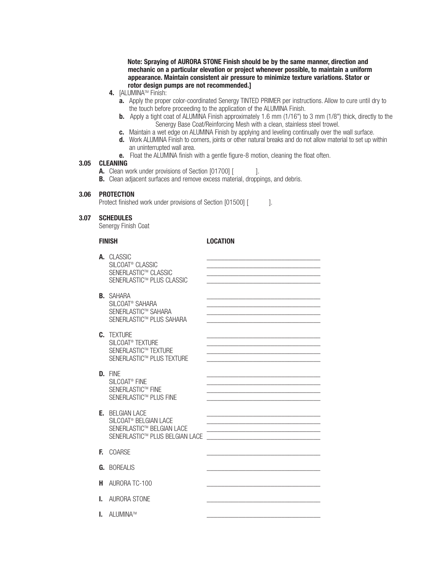**Note: Spraying of AURORA STONE Finish should be by the same manner, direction and mechanic on a particular elevation or project whenever possible, to maintain a uniform appearance. Maintain consistent air pressure to minimize texture variations. Stator or rotor design pumps are not recommended.]**

- **4.** [ALUMINATM Finish:
	- **a.** Apply the proper color-coordinated Senergy TINTED PRIMER per instructions. Allow to cure until dry to the touch before proceeding to the application of the ALUMINA Finish.
	- **b.** Apply a tight coat of ALUMINA Finish approximately 1.6 mm (1/16") to 3 mm (1/8") thick, directly to the Senergy Base Coat/Reinforcing Mesh with a clean, stainless steel trowel.
	- **c.** Maintain a wet edge on ALUMINA Finish by applying and leveling continually over the wall surface.
	- **d.** Work ALUMINA Finish to corners, joints or other natural breaks and do not allow material to set up within an uninterrupted wall area.
	- **e.** Float the ALUMINA finish with a gentle figure-8 motion, cleaning the float often.

#### **3.05 CLEANING**

- **A.** Clean work under provisions of Section [01700] [  $\qquad$  ].
- **B.** Clean adjacent surfaces and remove excess material, droppings, and debris.

#### **3.06 PROTECTION**

Protect finished work under provisions of Section [01500] [ ].

#### **3.07 SCHEDULES**

Senergy Finish Coat

#### **FINISH LOCATION**

|    | A. CLASSIC<br>SILCOAT <sup>®</sup> CLASSIC<br>SENERLASTIC™ CLASSIC<br>SENERLASTIC™ PLUS CLASSIC                            |  |
|----|----------------------------------------------------------------------------------------------------------------------------|--|
|    | <b>B.</b> SAHARA<br>SILCOAT <sup>®</sup> SAHARA<br>SENERI ASTIC™ SAHARA<br>SENERLASTIC™ PLUS SAHARA                        |  |
|    | C. TFXTURF<br>SILCOAT <sup>®</sup> TEXTURE<br>SENERLASTIC™ TEXTURE<br>SENERLASTIC™ PLUS TEXTURE                            |  |
|    | D. FINF<br>SILCOAT <sup>®</sup> FINE<br>SENERLASTIC™ FINE<br>SENERLASTIC™ PLUS FINE                                        |  |
|    | <b>E.</b> BELGIAN LACE<br>SILCOAT <sup>®</sup> BELGIAN LACE<br>SENERLASTIC™ BELGIAN LACE<br>SENERLASTIC™ PLUS BELGIAN LACE |  |
| Е. | <b>COARSE</b>                                                                                                              |  |
|    | <b>G.</b> BOREALIS                                                                                                         |  |
| н  | AURORA TC-100                                                                                                              |  |
| L. | AURORA STONE                                                                                                               |  |
| L. | ALUMINA™                                                                                                                   |  |